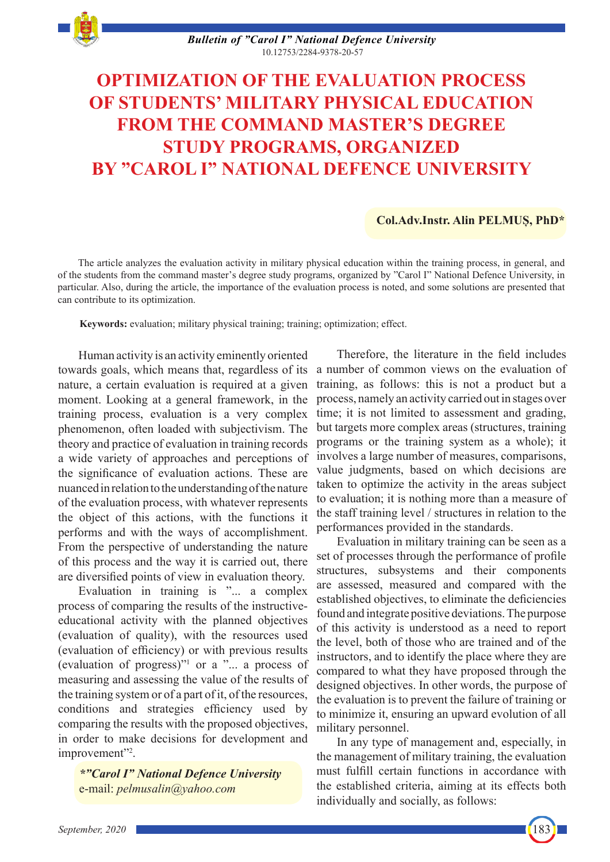

*Bulletin of "Carol I" National Defence University* 10.12753/2284-9378-20-57

# **OPTIMIZATION OF THE EVALUATION PROCESS OF STUDENTS' MILITARY PHYSICAL EDUCATION FROM THE COMMAND MASTER'S DEGREE STUDY PROGRAMS, ORGANIZED BY "CAROL I" NATIONAL DEFENCE UNIVERSITY**

## **Col.Adv.Instr. Alin PELMUȘ, PhD\***

The article analyzes the evaluation activity in military physical education within the training process, in general, and of the students from the command master's degree study programs, organized by "Carol I" National Defence University, in particular. Also, during the article, the importance of the evaluation process is noted, and some solutions are presented that can contribute to its optimization.

**Keywords:** evaluation; military physical training; training; optimization; effect.

Human activity is an activity eminently oriented towards goals, which means that, regardless of its nature, a certain evaluation is required at a given moment. Looking at a general framework, in the training process, evaluation is a very complex phenomenon, often loaded with subjectivism. The theory and practice of evaluation in training records a wide variety of approaches and perceptions of the significance of evaluation actions. These are nuanced in relation to the understanding of the nature of the evaluation process, with whatever represents the object of this actions, with the functions it performs and with the ways of accomplishment. From the perspective of understanding the nature of this process and the way it is carried out, there are diversified points of view in evaluation theory.

Evaluation in training is "... a complex process of comparing the results of the instructiveeducational activity with the planned objectives (evaluation of quality), with the resources used (evaluation of efficiency) or with previous results (evaluation of progress)"1 or a "... a process of measuring and assessing the value of the results of the training system or of a part of it, of the resources, conditions and strategies efficiency used by comparing the results with the proposed objectives, in order to make decisions for development and improvement"<sup>2</sup>.

*\*"Carol I" National Defence University* e-mail: *pelmusalin@yahoo.com*

Therefore, the literature in the field includes a number of common views on the evaluation of training, as follows: this is not a product but a process, namely an activity carried out in stages over time; it is not limited to assessment and grading, but targets more complex areas (structures, training programs or the training system as a whole); it involves a large number of measures, comparisons, value judgments, based on which decisions are taken to optimize the activity in the areas subject to evaluation; it is nothing more than a measure of the staff training level / structures in relation to the performances provided in the standards.

Evaluation in military training can be seen as a set of processes through the performance of profile structures, subsystems and their components are assessed, measured and compared with the established objectives, to eliminate the deficiencies found and integrate positive deviations. The purpose of this activity is understood as a need to report the level, both of those who are trained and of the instructors, and to identify the place where they are compared to what they have proposed through the designed objectives. In other words, the purpose of the evaluation is to prevent the failure of training or to minimize it, ensuring an upward evolution of all military personnel.

In any type of management and, especially, in the management of military training, the evaluation must fulfill certain functions in accordance with the established criteria, aiming at its effects both individually and socially, as follows:

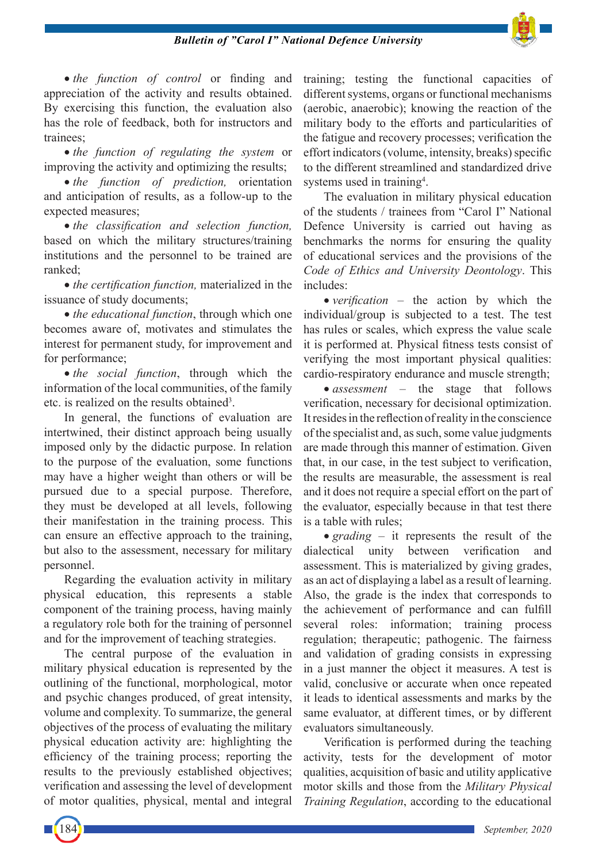### *Bulletin of "Carol I" National Defence University*



• *the function of control* or finding and appreciation of the activity and results obtained. By exercising this function, the evaluation also has the role of feedback, both for instructors and trainees;

• *the function of regulating the system* or improving the activity and optimizing the results;

• *the function of prediction,* orientation and anticipation of results, as a follow-up to the expected measures;

• *the classification and selection function,* based on which the military structures/training institutions and the personnel to be trained are ranked;

• *the certification function, materialized in the* issuance of study documents;

• *the educational function*, through which one becomes aware of, motivates and stimulates the interest for permanent study, for improvement and for performance;

• *the social function*, through which the information of the local communities, of the family etc. is realized on the results obtained<sup>3</sup>.

In general, the functions of evaluation are intertwined, their distinct approach being usually imposed only by the didactic purpose. In relation to the purpose of the evaluation, some functions may have a higher weight than others or will be pursued due to a special purpose. Therefore, they must be developed at all levels, following their manifestation in the training process. This can ensure an effective approach to the training, but also to the assessment, necessary for military personnel.

Regarding the evaluation activity in military physical education, this represents a stable component of the training process, having mainly a regulatory role both for the training of personnel and for the improvement of teaching strategies.

The central purpose of the evaluation in military physical education is represented by the outlining of the functional, morphological, motor and psychic changes produced, of great intensity, volume and complexity. To summarize, the general objectives of the process of evaluating the military physical education activity are: highlighting the efficiency of the training process; reporting the results to the previously established objectives; verification and assessing the level of development of motor qualities, physical, mental and integral

training; testing the functional capacities of different systems, organs or functional mechanisms (aerobic, anaerobic); knowing the reaction of the military body to the efforts and particularities of the fatigue and recovery processes; verification the effort indicators (volume, intensity, breaks) specific to the different streamlined and standardized drive systems used in training<sup>4</sup>.

The evaluation in military physical education of the students / trainees from "Carol I" National Defence University is carried out having as benchmarks the norms for ensuring the quality of educational services and the provisions of the *Code of Ethics and University Deontology*. This includes:

• *verification* – the action by which the individual/group is subjected to a test. The test has rules or scales, which express the value scale it is performed at. Physical fitness tests consist of verifying the most important physical qualities: cardio-respiratory endurance and muscle strength;

• *assessment* – the stage that follows verification, necessary for decisional optimization. It resides in the reflection of reality in the conscience of the specialist and, as such, some value judgments are made through this manner of estimation. Given that, in our case, in the test subject to verification, the results are measurable, the assessment is real and it does not require a special effort on the part of the evaluator, especially because in that test there is a table with rules;

• *grading* – it represents the result of the dialectical unity between verification and assessment. This is materialized by giving grades, as an act of displaying a label as a result of learning. Also, the grade is the index that corresponds to the achievement of performance and can fulfill several roles: information; training process regulation; therapeutic; pathogenic. The fairness and validation of grading consists in expressing in a just manner the object it measures. A test is valid, conclusive or accurate when once repeated it leads to identical assessments and marks by the same evaluator, at different times, or by different evaluators simultaneously.

Verification is performed during the teaching activity, tests for the development of motor qualities, acquisition of basic and utility applicative motor skills and those from the *Military Physical Training Regulation*, according to the educational

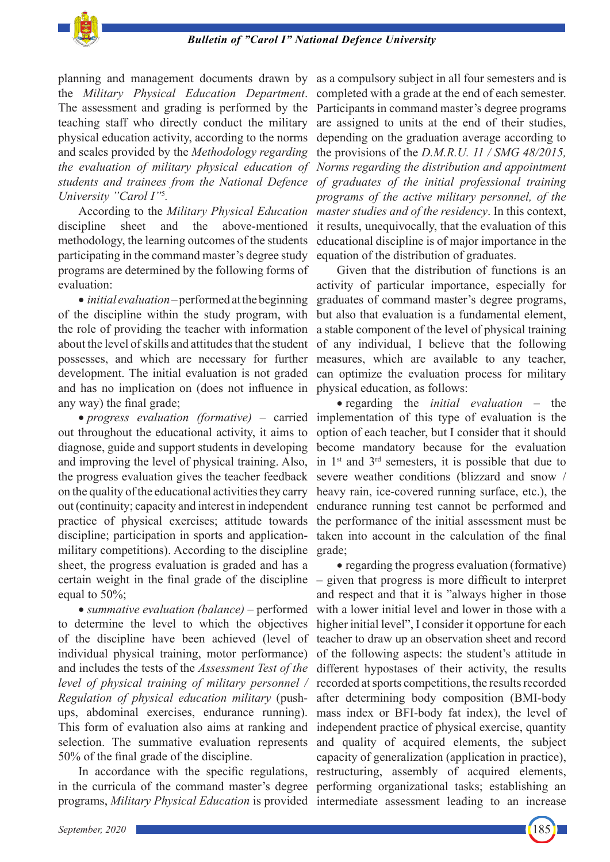

planning and management documents drawn by the *Military Physical Education Department*. The assessment and grading is performed by the teaching staff who directly conduct the military physical education activity, according to the norms and scales provided by the *Methodology regarding the evaluation of military physical education of students and trainees from the National Defence University "Carol I"*<sup>5</sup> *.*

According to the *Military Physical Education* discipline sheet and the above-mentioned methodology, the learning outcomes of the students participating in the command master's degree study programs are determined by the following forms of evaluation:

• *initial evaluation* – performed at the beginning of the discipline within the study program, with the role of providing the teacher with information about the level of skills and attitudes that the student possesses, and which are necessary for further development. The initial evaluation is not graded and has no implication on (does not influence in any way) the final grade;

• *progress evaluation (formative)* – carried out throughout the educational activity, it aims to diagnose, guide and support students in developing and improving the level of physical training. Also, the progress evaluation gives the teacher feedback on the quality of the educational activities they carry out (continuity; capacity and interest in independent practice of physical exercises; attitude towards discipline; participation in sports and applicationmilitary competitions). According to the discipline sheet, the progress evaluation is graded and has a certain weight in the final grade of the discipline equal to 50%;

• *summative evaluation (balance)* – performed to determine the level to which the objectives of the discipline have been achieved (level of individual physical training, motor performance) and includes the tests of the *Assessment Test of the level of physical training of military personnel / Regulation of physical education military* (pushups, abdominal exercises, endurance running). This form of evaluation also aims at ranking and selection. The summative evaluation represents 50% of the final grade of the discipline.

In accordance with the specific regulations, in the curricula of the command master's degree programs, *Military Physical Education* is provided intermediate assessment leading to an increase

as a compulsory subject in all four semesters and is completed with a grade at the end of each semester. Participants in command master's degree programs are assigned to units at the end of their studies, depending on the graduation average according to the provisions of the *D.M.R.U. 11 / SMG 48/2015, Norms regarding the distribution and appointment of graduates of the initial professional training programs of the active military personnel, of the master studies and of the residency*. In this context, it results, unequivocally, that the evaluation of this educational discipline is of major importance in the equation of the distribution of graduates.

Given that the distribution of functions is an activity of particular importance, especially for graduates of command master's degree programs, but also that evaluation is a fundamental element, a stable component of the level of physical training of any individual, I believe that the following measures, which are available to any teacher, can optimize the evaluation process for military physical education, as follows:

• regarding the *initial evaluation* – the implementation of this type of evaluation is the option of each teacher, but I consider that it should become mandatory because for the evaluation in  $1<sup>st</sup>$  and  $3<sup>rd</sup>$  semesters, it is possible that due to severe weather conditions (blizzard and snow / heavy rain, ice-covered running surface, etc.), the endurance running test cannot be performed and the performance of the initial assessment must be taken into account in the calculation of the final grade;

• regarding the progress evaluation (formative) – given that progress is more difficult to interpret and respect and that it is "always higher in those with a lower initial level and lower in those with a higher initial level", I consider it opportune for each teacher to draw up an observation sheet and record of the following aspects: the student's attitude in different hypostases of their activity, the results recorded at sports competitions, the results recorded after determining body composition (BMI-body mass index or BFI-body fat index), the level of independent practice of physical exercise, quantity and quality of acquired elements, the subject capacity of generalization (application in practice), restructuring, assembly of acquired elements, performing organizational tasks; establishing an

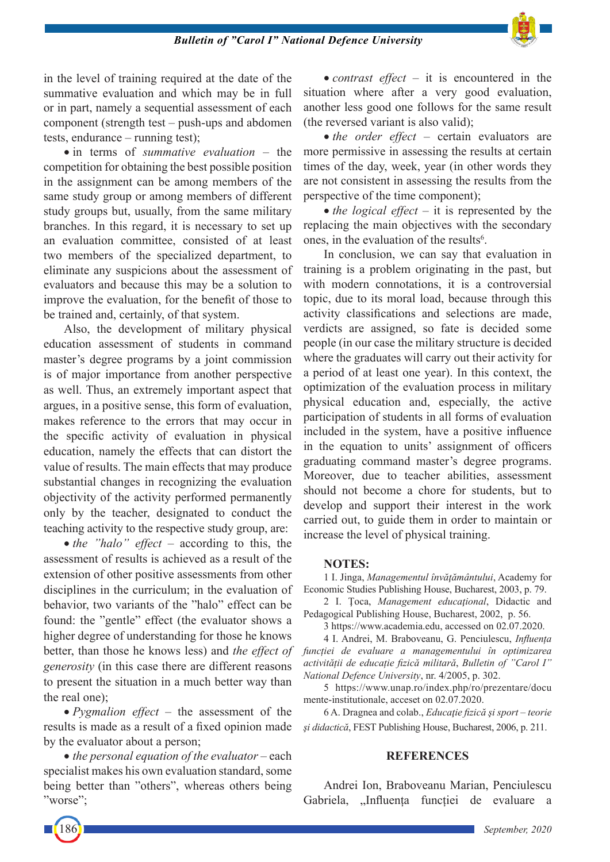

in the level of training required at the date of the summative evaluation and which may be in full or in part, namely a sequential assessment of each component (strength test – push-ups and abdomen tests, endurance – running test);

• in terms of *summative evaluation* – the competition for obtaining the best possible position in the assignment can be among members of the same study group or among members of different study groups but, usually, from the same military branches. In this regard, it is necessary to set up an evaluation committee, consisted of at least two members of the specialized department, to eliminate any suspicions about the assessment of evaluators and because this may be a solution to improve the evaluation, for the benefit of those to be trained and, certainly, of that system.

Also, the development of military physical education assessment of students in command master's degree programs by a joint commission is of major importance from another perspective as well. Thus, an extremely important aspect that argues, in a positive sense, this form of evaluation, makes reference to the errors that may occur in the specific activity of evaluation in physical education, namely the effects that can distort the value of results. The main effects that may produce substantial changes in recognizing the evaluation objectivity of the activity performed permanently only by the teacher, designated to conduct the teaching activity to the respective study group, are:

• *the "halo" effect* – according to this, the assessment of results is achieved as a result of the extension of other positive assessments from other disciplines in the curriculum; in the evaluation of behavior, two variants of the "halo" effect can be found: the "gentle" effect (the evaluator shows a higher degree of understanding for those he knows better, than those he knows less) and *the effect of generosity* (in this case there are different reasons to present the situation in a much better way than the real one);

• *Pygmalion effect* – the assessment of the results is made as a result of a fixed opinion made by the evaluator about a person;

• *the personal equation of the evaluator – each* specialist makes his own evaluation standard, some being better than "others", whereas others being "worse";

• *contrast effect* – it is encountered in the situation where after a very good evaluation, another less good one follows for the same result (the reversed variant is also valid);

• *the order effect* – certain evaluators are more permissive in assessing the results at certain times of the day, week, year (in other words they are not consistent in assessing the results from the perspective of the time component);

• *the logical effect* – it is represented by the replacing the main objectives with the secondary ones, in the evaluation of the results $6$ .

In conclusion, we can say that evaluation in training is a problem originating in the past, but with modern connotations, it is a controversial topic, due to its moral load, because through this activity classifications and selections are made, verdicts are assigned, so fate is decided some people (in our case the military structure is decided where the graduates will carry out their activity for a period of at least one year). In this context, the optimization of the evaluation process in military physical education and, especially, the active participation of students in all forms of evaluation included in the system, have a positive influence in the equation to units' assignment of officers graduating command master's degree programs. Moreover, due to teacher abilities, assessment should not become a chore for students, but to develop and support their interest in the work carried out, to guide them in order to maintain or increase the level of physical training.

#### **NOTES:**

1 I. Jinga, *Managementul învăţământului*, Academy for Economic Studies Publishing House, Bucharest, 2003, p. 79.

2 I. Ţoca, *Management educaţional*, Didactic and Pedagogical Publishing House, Bucharest, 2002, p. 56.

3 https://www.academia.edu, accessed on 02.07.2020.

4 I. Andrei, M. Braboveanu, G. Penciulescu, *Influența funcției de evaluare a managementului în optimizarea activității de educație fizică militară*, *Bulletin of "Carol I" National Defence University*, nr. 4/2005, p. 302.

5 https://www.unap.ro/index.php/ro/prezentare/docu mente-institutionale, acceset on 02.07.2020.

6 A. Dragnea and colab., *Educaţie fizică şi sport – teorie şi didactică*, FEST Publishing House, Bucharest, 2006, p. 211.

#### **REFERENCES**

Andrei Ion, Braboveanu Marian, Penciulescu Gabriela, "Influența funcției de evaluare a